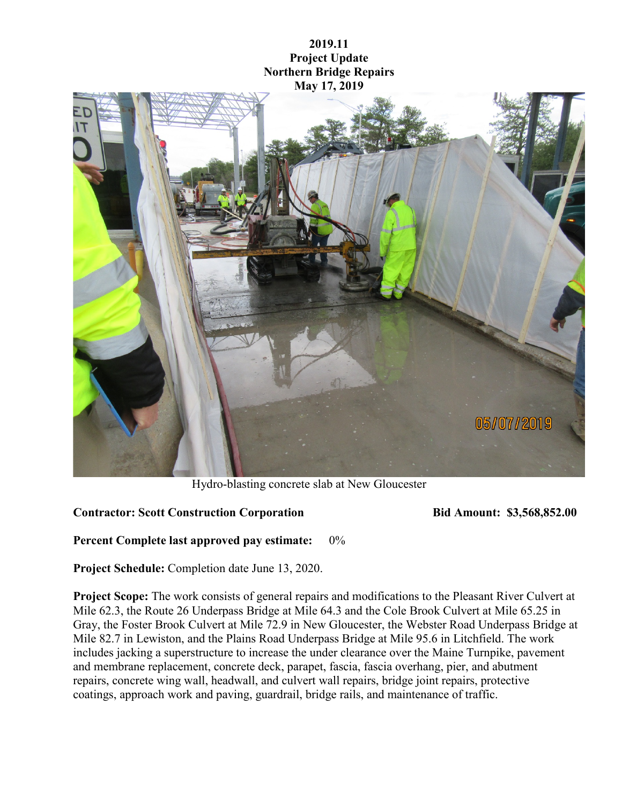## **2019.11 Project Update Northern Bridge Repairs May 17, 2019**



Hydro-blasting concrete slab at New Gloucester

## **Contractor: Scott Construction Corporation Bid Amount: \$3,568,852.00**

**Percent Complete last approved pay estimate:** 0%

**Project Schedule:** Completion date June 13, 2020.

**Project Scope:** The work consists of general repairs and modifications to the Pleasant River Culvert at Mile 62.3, the Route 26 Underpass Bridge at Mile 64.3 and the Cole Brook Culvert at Mile 65.25 in Gray, the Foster Brook Culvert at Mile 72.9 in New Gloucester, the Webster Road Underpass Bridge at Mile 82.7 in Lewiston, and the Plains Road Underpass Bridge at Mile 95.6 in Litchfield. The work includes jacking a superstructure to increase the under clearance over the Maine Turnpike, pavement and membrane replacement, concrete deck, parapet, fascia, fascia overhang, pier, and abutment repairs, concrete wing wall, headwall, and culvert wall repairs, bridge joint repairs, protective coatings, approach work and paving, guardrail, bridge rails, and maintenance of traffic.